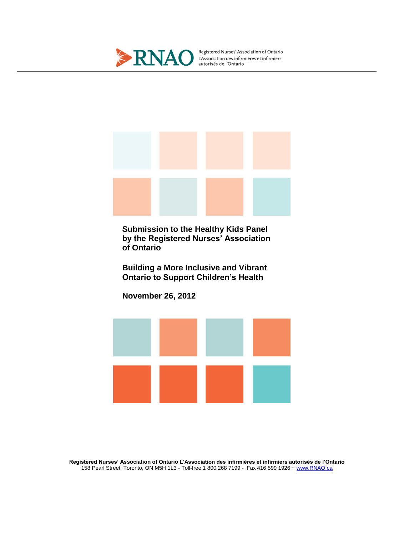



**Registered Nurses' Association of Ontario L'Association des infirmières et infirmiers autorisés de l'Ontario** 158 Pearl Street, Toronto, ON M5H 1L3 - Toll-free 1 800 268 7199 - Fax 416 599 1926 [~ www.RNAO.ca](http://www.rnao.ca/)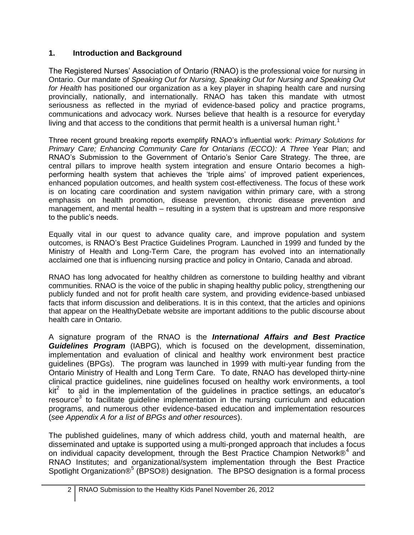## **1. Introduction and Background**

The Registered Nurses" Association of Ontario (RNAO) is the professional voice for nursing in Ontario. Our mandate of *Speaking Out for Nursing, Speaking Out for Nursing and Speaking Out for Health* has positioned our organization as a key player in shaping health care and nursing provincially, nationally, and internationally. RNAO has taken this mandate with utmost seriousness as reflected in the myriad of evidence-based policy and practice programs, communications and advocacy work. Nurses believe that health is a resource for everyday living and that access to the conditions that permit health is a universal human right.<sup>1</sup>

Three recent ground breaking reports exemplify RNAO"s influential work: *Primary Solutions for Primary Care; Enhancing Community Care for Ontarians (ECCO): A Three* Year Plan; and RNAO's Submission to the Government of Ontario's Senior Care Strategy. The three, are central pillars to improve health system integration and ensure Ontario becomes a highperforming health system that achieves the "triple aims" of improved patient experiences, enhanced population outcomes, and health system cost-effectiveness. The focus of these work is on locating care coordination and system navigation within primary care, with a strong emphasis on health promotion, disease prevention, chronic disease prevention and management, and mental health – resulting in a system that is upstream and more responsive to the public"s needs.

Equally vital in our quest to advance quality care, and improve population and system outcomes, is RNAO"s Best Practice Guidelines Program. Launched in 1999 and funded by the Ministry of Health and Long-Term Care, the program has evolved into an internationally acclaimed one that is influencing nursing practice and policy in Ontario, Canada and abroad.

RNAO has long advocated for healthy children as cornerstone to building healthy and vibrant communities. RNAO is the voice of the public in shaping healthy public policy, strengthening our publicly funded and not for profit health care system, and providing evidence-based unbiased facts that inform discussion and deliberations. It is in this context, that the articles and opinions that appear on the HealthyDebate website are important additions to the public discourse about health care in Ontario.

A signature program of the RNAO is the *International Affairs and Best Practice Guidelines Program* (IABPG), which is focused on the development, dissemination, implementation and evaluation of clinical and healthy work environment best practice guidelines (BPGs). The program was launched in 1999 with multi-year funding from the Ontario Ministry of Health and Long Term Care. To date, RNAO has developed thirty-nine clinical practice guidelines, nine guidelines focused on healthy work environments, a tool kit<sup>2</sup> to aid in the implementation of the guidelines in practice settings, an educator's resource<sup>3</sup> to facilitate guideline implementation in the nursing curriculum and education programs, and numerous other evidence-based education and implementation resources (*see Appendix A for a list of BPGs and other resources*).

The published guidelines, many of which address child, youth and maternal health, are disseminated and uptake is supported using a multi-pronged approach that includes a focus on individual capacity development, through the Best Practice Champion Network $\mathcal{O}^4$  and RNAO Institutes; and organizational/system implementation through the Best Practice Spotlight Organization®<sup>5</sup> (BPSO®) designation. The BPSO designation is a formal process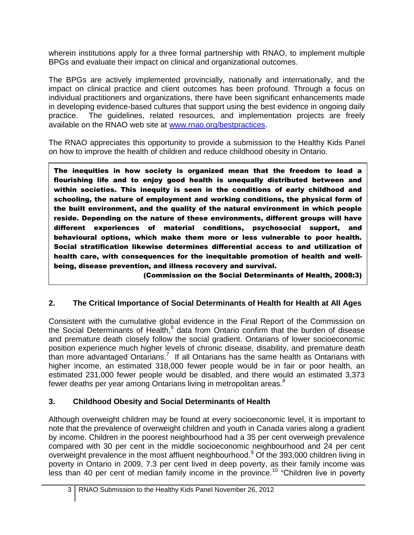wherein institutions apply for a three formal partnership with RNAO, to implement multiple BPGs and evaluate their impact on clinical and organizational outcomes.

The BPGs are actively implemented provincially, nationally and internationally, and the impact on clinical practice and client outcomes has been profound. Through a focus on individual practitioners and organizations, there have been significant enhancements made in developing evidence-based cultures that support using the best evidence in ongoing daily practice. The guidelines, related resources, and implementation projects are freely available on the RNAO web site at [www.rnao.org/bestpractices.](http://www.rnao.org/bestpractices)

The RNAO appreciates this opportunity to provide a submission to the Healthy Kids Panel on how to improve the health of children and reduce childhood obesity in Ontario.

The inequities in how society is organized mean that the freedom to lead a flourishing life and to enjoy good health is unequally distributed between and within societies. This inequity is seen in the conditions of early childhood and schooling, the nature of employment and working conditions, the physical form of the built environment, and the quality of the natural environment in which people reside. Depending on the nature of these environments, different groups will have different experiences of material conditions, psychosocial support, and behavioural options, which make them more or less vulnerable to poor health. Social stratification likewise determines differential access to and utilization of health care, with consequences for the inequitable promotion of health and wellbeing, disease prevention, and illness recovery and survival.

(Commission on the Social Determinants of Health, 2008:3)

# **2. The Critical Importance of Social Determinants of Health for Health at All Ages**

Consistent with the cumulative global evidence in the Final Report of the Commission on the Social Determinants of Health,<sup>6</sup> data from Ontario confirm that the burden of disease and premature death closely follow the social gradient. Ontarians of lower socioeconomic position experience much higher levels of chronic disease, disability, and premature death than more advantaged Ontarians.<sup>7</sup> If all Ontarians has the same health as Ontarians with higher income, an estimated 318,000 fewer people would be in fair or poor health, an estimated 231,000 fewer people would be disabled, and there would an estimated 3,373 fewer deaths per year among Ontarians living in metropolitan areas.<sup>8</sup>

## **3. Childhood Obesity and Social Determinants of Health**

Although overweight children may be found at every socioeconomic level, it is important to note that the prevalence of overweight children and youth in Canada varies along a gradient by income. Children in the poorest neighbourhood had a 35 per cent overweigh prevalence compared with 30 per cent in the middle socioeconomic neighbourhood and 24 per cent overweight prevalence in the most affluent neighbourhood.<sup>9</sup> Of the 393,000 children living in poverty in Ontario in 2009, 7.3 per cent lived in deep poverty, as their family income was less than 40 per cent of median family income in the province.<sup>10</sup> "Children live in poverty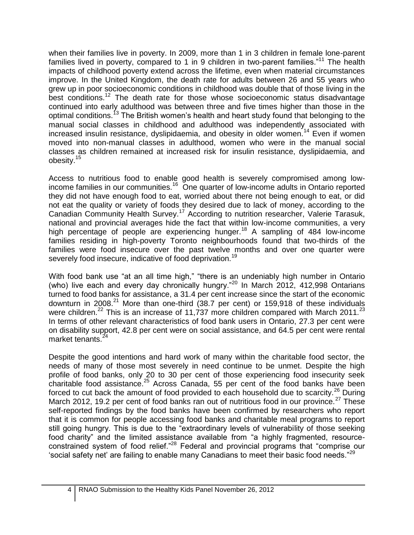when their families live in poverty. In 2009, more than 1 in 3 children in female lone-parent families lived in poverty, compared to 1 in 9 children in two-parent families."<sup>11</sup> The health impacts of childhood poverty extend across the lifetime, even when material circumstances improve. In the United Kingdom, the death rate for adults between 26 and 55 years who grew up in poor socioeconomic conditions in childhood was double that of those living in the best conditions.<sup>12</sup> The death rate for those whose socioeconomic status disadvantage continued into early adulthood was between three and five times higher than those in the optimal conditions.<sup>13</sup> The British women's health and heart study found that belonging to the manual social classes in childhood and adulthood was independently associated with increased insulin resistance, dyslipidaemia, and obesity in older women.<sup>14</sup> Even if women moved into non-manual classes in adulthood, women who were in the manual social classes as children remained at increased risk for insulin resistance, dyslipidaemia, and obesity.<sup>15</sup>

Access to nutritious food to enable good health is severely compromised among lowincome families in our communities.<sup>16</sup> One quarter of low-income adults in Ontario reported they did not have enough food to eat, worried about there not being enough to eat, or did not eat the quality or variety of foods they desired due to lack of money, according to the Canadian Community Health Survey.<sup>17</sup> According to nutrition researcher, Valerie Tarasuk, national and provincial averages hide the fact that within low-income communities, a very high percentage of people are experiencing hunger.<sup>18</sup> A sampling of 484 low-income families residing in high-poverty Toronto neighbourhoods found that two-thirds of the families were food insecure over the past twelve months and over one quarter were severely food insecure, indicative of food deprivation.<sup>19</sup>

With food bank use "at an all time high," "there is an undeniably high number in Ontario (who) live each and every day chronically hungry."<sup>20</sup> In March 2012, 412,998 Ontarians turned to food banks for assistance, a 31.4 per cent increase since the start of the economic downturn in  $2008.<sup>21</sup>$  More than one-third (38.7 per cent) or 159,918 of these individuals were children.<sup>22</sup> This is an increase of 11,737 more children compared with March 2011.<sup>23</sup> In terms of other relevant characteristics of food bank users in Ontario, 27.3 per cent were on disability support, 42.8 per cent were on social assistance, and 64.5 per cent were rental market tenants.<sup>2</sup>

Despite the good intentions and hard work of many within the charitable food sector, the needs of many of those most severely in need continue to be unmet. Despite the high profile of food banks, only 20 to 30 per cent of those experiencing food insecurity seek charitable food assistance.<sup>25</sup> Across Canada, 55 per cent of the food banks have been forced to cut back the amount of food provided to each household due to scarcity.<sup>26</sup> During March 2012, 19.2 per cent of food banks ran out of nutritious food in our province.<sup>27</sup> These self-reported findings by the food banks have been confirmed by researchers who report that it is common for people accessing food banks and charitable meal programs to report still going hungry. This is due to the "extraordinary levels of vulnerability of those seeking food charity" and the limited assistance available from "a highly fragmented, resourceconstrained system of food relief."<sup>28</sup> Federal and provincial programs that "comprise our 'social safety net' are failing to enable many Canadians to meet their basic food needs."<sup>29</sup>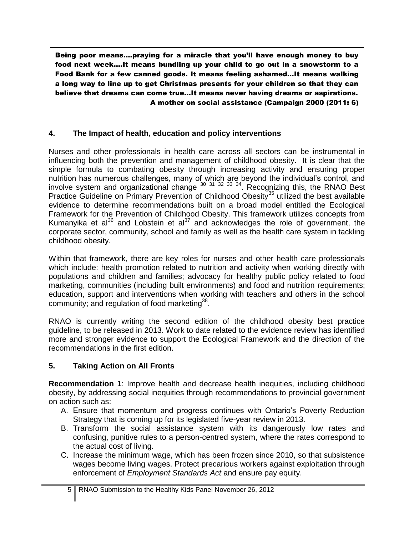Being poor means….praying for a miracle that you'll have enough money to buy food next week….It means bundling up your child to go out in a snowstorm to a Food Bank for a few canned goods. It means feeling ashamed…It means walking a long way to line up to get Christmas presents for your children so that they can believe that dreams can come true…It means never having dreams or aspirations. A mother on social assistance (Campaign 2000 (2011: 6)

# **4. The Impact of health, education and policy interventions**

Nurses and other professionals in health care across all sectors can be instrumental in influencing both the prevention and management of childhood obesity. It is clear that the simple formula to combating obesity through increasing activity and ensuring proper nutrition has numerous challenges, many of which are beyond the individual"s control, and involve system and organizational change  $30^{31}$   $32^{33}$   $34$ . Recognizing this, the RNAO Best Practice Guideline on Primary Prevention of Childhood Obesity<sup>35</sup> utilized the best available evidence to determine recommendations built on a broad model entitled the Ecological Framework for the Prevention of Childhood Obesity. This framework utilizes concepts from Kumanyika et al<sup>36</sup> and Lobstein et al<sup>37</sup> and acknowledges the role of government, the corporate sector, community, school and family as well as the health care system in tackling childhood obesity.

Within that framework, there are key roles for nurses and other health care professionals which include: health promotion related to nutrition and activity when working directly with populations and children and families; advocacy for healthy public policy related to food marketing, communities (including built environments) and food and nutrition requirements; education, support and interventions when working with teachers and others in the school community; and regulation of food marketing $38$ .

RNAO is currently writing the second edition of the childhood obesity best practice guideline, to be released in 2013. Work to date related to the evidence review has identified more and stronger evidence to support the Ecological Framework and the direction of the recommendations in the first edition.

# **5. Taking Action on All Fronts**

**Recommendation 1**: Improve health and decrease health inequities, including childhood obesity, by addressing social inequities through recommendations to provincial government on action such as:

- A. Ensure that momentum and progress continues with Ontario"s Poverty Reduction Strategy that is coming up for its legislated five-year review in 2013.
- B. Transform the social assistance system with its dangerously low rates and confusing, punitive rules to a person-centred system, where the rates correspond to the actual cost of living.
- C. Increase the minimum wage, which has been frozen since 2010, so that subsistence wages become living wages. Protect precarious workers against exploitation through enforcement of *Employment Standards Act* and ensure pay equity.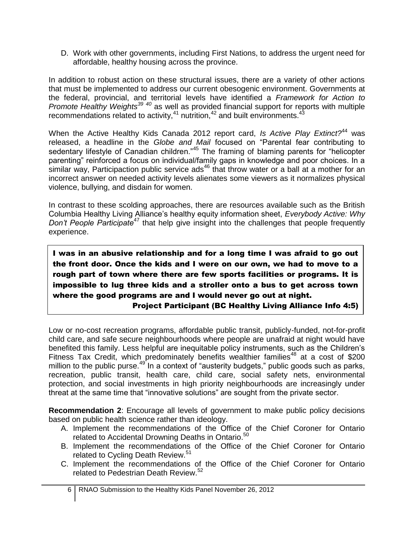D. Work with other governments, including First Nations, to address the urgent need for affordable, healthy housing across the province.

In addition to robust action on these structural issues, there are a variety of other actions that must be implemented to address our current obesogenic environment. Governments at the federal, provincial, and territorial levels have identified a *Framework for Action to Promote Healthy Weights<sup>39</sup> <sup>40</sup>* as well as provided financial support for reports with multiple recommendations related to activity, $41$  nutrition, $42$  and built environments. $43$ 

When the Active Healthy Kids Canada 2012 report card, *Is Active Play Extinct?*<sup>44</sup> was released, a headline in the *Globe and Mail* focused on "Parental fear contributing to sedentary lifestyle of Canadian children."<sup>45</sup> The framing of blaming parents for "helicopter parenting" reinforced a focus on individual/family gaps in knowledge and poor choices. In a similar way, Participaction public service  $\text{ads}^{46}$  that throw water or a ball at a mother for an incorrect answer on needed activity levels alienates some viewers as it normalizes physical violence, bullying, and disdain for women.

In contrast to these scolding approaches, there are resources available such as the British Columbia Healthy Living Alliance"s healthy equity information sheet, *Everybody Active: Why Don't People Participate*<sup>47</sup> that help give insight into the challenges that people frequently experience.

I was in an abusive relationship and for a long time I was afraid to go out the front door. Once the kids and I were on our own, we had to move to a rough part of town where there are few sports facilities or programs. It is impossible to lug three kids and a stroller onto a bus to get across town where the good programs are and I would never go out at night. Project Participant (BC Healthy Living Alliance Info 4:5)

Low or no-cost recreation programs, affordable public transit, publicly-funded, not-for-profit child care, and safe secure neighbourhoods where people are unafraid at night would have benefited this family. Less helpful are inequitable policy instruments, such as the Children"s Fitness Tax Credit, which predominately benefits wealthier families<sup>48</sup> at a cost of \$200 million to the public purse.<sup>49</sup> In a context of "austerity budgets," public goods such as parks, recreation, public transit, health care, child care, social safety nets, environmental protection, and social investments in high priority neighbourhoods are increasingly under threat at the same time that "innovative solutions" are sought from the private sector.

**Recommendation 2**: Encourage all levels of government to make public policy decisions based on public health science rather than ideology.

- A. Implement the recommendations of the Office of the Chief Coroner for Ontario related to Accidental Drowning Deaths in Ontario.<sup>50</sup>
- B. Implement the recommendations of the Office of the Chief Coroner for Ontario related to Cycling Death Review.<sup>51</sup>
- C. Implement the recommendations of the Office of the Chief Coroner for Ontario related to Pedestrian Death Review.<sup>52</sup>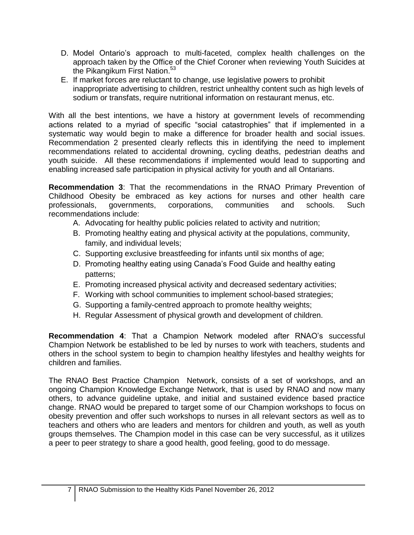- D. Model Ontario's approach to multi-faceted, complex health challenges on the approach taken by the Office of the Chief Coroner when reviewing Youth Suicides at the Pikangikum First Nation.<sup>53</sup>
- E. If market forces are reluctant to change, use legislative powers to prohibit inappropriate advertising to children, restrict unhealthy content such as high levels of sodium or transfats, require nutritional information on restaurant menus, etc.

With all the best intentions, we have a history at government levels of recommending actions related to a myriad of specific "social catastrophies" that if implemented in a systematic way would begin to make a difference for broader health and social issues. Recommendation 2 presented clearly reflects this in identifying the need to implement recommendations related to accidental drowning, cycling deaths, pedestrian deaths and youth suicide. All these recommendations if implemented would lead to supporting and enabling increased safe participation in physical activity for youth and all Ontarians.

**Recommendation 3**: That the recommendations in the RNAO Primary Prevention of Childhood Obesity be embraced as key actions for nurses and other health care professionals, governments, corporations, communities and schools. Such recommendations include:

- A. Advocating for healthy public policies related to activity and nutrition;
- B. Promoting healthy eating and physical activity at the populations, community, family, and individual levels;
- C. Supporting exclusive breastfeeding for infants until six months of age;
- D. Promoting healthy eating using Canada"s Food Guide and healthy eating patterns;
- E. Promoting increased physical activity and decreased sedentary activities;
- F. Working with school communities to implement school-based strategies;
- G. Supporting a family-centred approach to promote healthy weights;
- H. Regular Assessment of physical growth and development of children.

**Recommendation 4**: That a Champion Network modeled after RNAO"s successful Champion Network be established to be led by nurses to work with teachers, students and others in the school system to begin to champion healthy lifestyles and healthy weights for children and families.

The RNAO Best Practice Champion Network, consists of a set of workshops, and an ongoing Champion Knowledge Exchange Network, that is used by RNAO and now many others, to advance guideline uptake, and initial and sustained evidence based practice change. RNAO would be prepared to target some of our Champion workshops to focus on obesity prevention and offer such workshops to nurses in all relevant sectors as well as to teachers and others who are leaders and mentors for children and youth, as well as youth groups themselves. The Champion model in this case can be very successful, as it utilizes a peer to peer strategy to share a good health, good feeling, good to do message.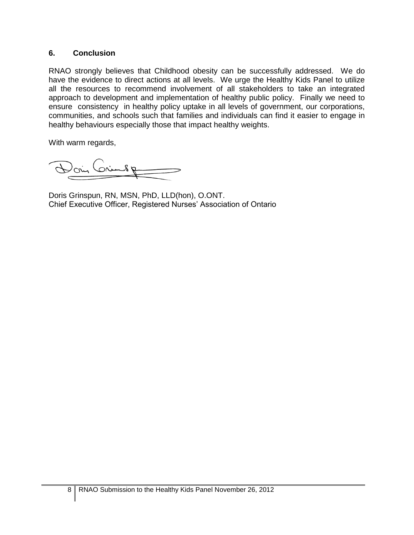#### **6. Conclusion**

RNAO strongly believes that Childhood obesity can be successfully addressed. We do have the evidence to direct actions at all levels. We urge the Healthy Kids Panel to utilize all the resources to recommend involvement of all stakeholders to take an integrated approach to development and implementation of healthy public policy. Finally we need to ensure consistency in healthy policy uptake in all levels of government, our corporations, communities, and schools such that families and individuals can find it easier to engage in healthy behaviours especially those that impact healthy weights.

With warm regards,

Doin Crimbp

Doris Grinspun, RN, MSN, PhD, LLD(hon), O.ONT. Chief Executive Officer, Registered Nurses" Association of Ontario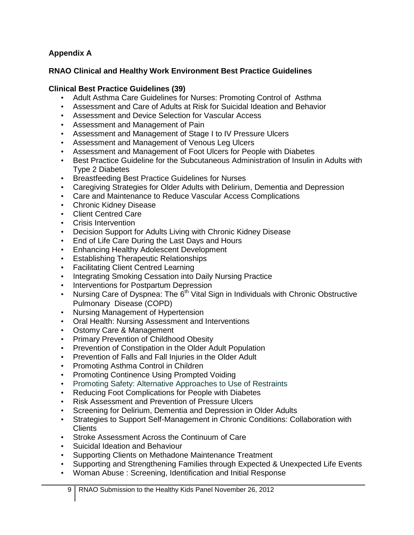# **Appendix A**

## **RNAO Clinical and Healthy Work Environment Best Practice Guidelines**

### **Clinical Best Practice Guidelines (39)**

- Adult Asthma Care Guidelines for Nurses: Promoting Control of Asthma
- Assessment and Care of Adults at Risk for Suicidal Ideation and Behavior
- Assessment and Device Selection for Vascular Access
- Assessment and Management of Pain
- Assessment and Management of Stage I to IV Pressure Ulcers
- Assessment and Management of Venous Leg Ulcers
- Assessment and Management of Foot Ulcers for People with Diabetes
- Best Practice Guideline for the Subcutaneous Administration of Insulin in Adults with Type 2 Diabetes
- Breastfeeding Best Practice Guidelines for Nurses
- Caregiving Strategies for Older Adults with Delirium, Dementia and Depression
- Care and Maintenance to Reduce Vascular Access Complications
- Chronic Kidney Disease
- Client Centred Care
- Crisis Intervention
- Decision Support for Adults Living with Chronic Kidney Disease
- End of Life Care During the Last Days and Hours
- Enhancing Healthy Adolescent Development
- Establishing Therapeutic Relationships
- Facilitating Client Centred Learning
- Integrating Smoking Cessation into Daily Nursing Practice
- Interventions for Postpartum Depression
- Nursing Care of Dyspnea: The  $6<sup>th</sup>$  Vital Sign in Individuals with Chronic Obstructive Pulmonary Disease (COPD)
- Nursing Management of Hypertension
- Oral Health: Nursing Assessment and Interventions
- Ostomy Care & Management
- Primary Prevention of Childhood Obesity
- Prevention of Constipation in the Older Adult Population
- Prevention of Falls and Fall Injuries in the Older Adult
- Promoting Asthma Control in Children
- Promoting Continence Using Prompted Voiding
- [Promoting Safety: Alternative Approaches to Use of Restraints](http://www.rnao.org/Page.asp?PageID=924&ContentID=3661)
- Reducing Foot Complications for People with Diabetes
- Risk Assessment and Prevention of Pressure Ulcers
- Screening for Delirium, Dementia and Depression in Older Adults
- Strategies to Support Self-Management in Chronic Conditions: Collaboration with **Clients**
- Stroke Assessment Across the Continuum of Care
- Suicidal Ideation and Behaviour
- Supporting Clients on Methadone Maintenance Treatment
- Supporting and Strengthening Families through Expected & Unexpected Life Events
- Woman Abuse : Screening, Identification and Initial Response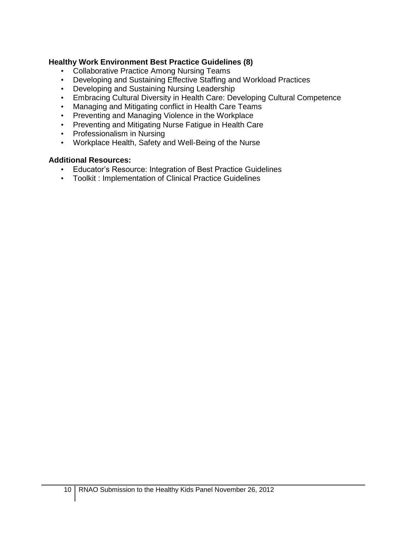### **Healthy Work Environment Best Practice Guidelines (8)**

- Collaborative Practice Among Nursing Teams
- Developing and Sustaining Effective Staffing and Workload Practices
- Developing and Sustaining Nursing Leadership
- Embracing Cultural Diversity in Health Care: Developing Cultural Competence
- Managing and Mitigating conflict in Health Care Teams
- Preventing and Managing Violence in the Workplace
- Preventing and Mitigating Nurse Fatigue in Health Care
- Professionalism in Nursing
- Workplace Health, Safety and Well-Being of the Nurse

#### **Additional Resources:**

- Educator"s Resource: Integration of Best Practice Guidelines
- Toolkit : Implementation of Clinical Practice Guidelines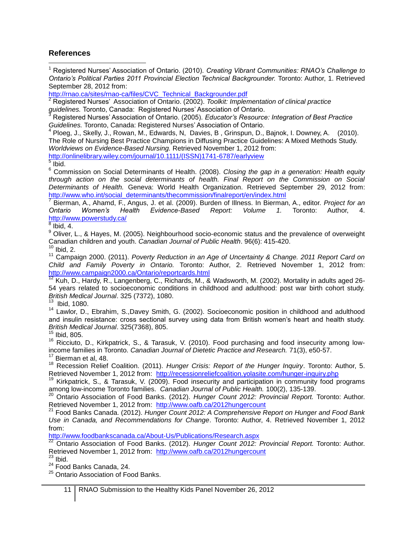#### **References**

 $\overline{a}$ <sup>1</sup> Registered Nurses" Association of Ontario. (2010). *Creating Vibrant Communities: RNAO's Challenge to Ontario's Political Parties 2011 Provincial Election Technical Backgrounder.* Toronto: Author, 1. Retrieved September 28, 2012 from:

[http://rnao.ca/sites/rnao-ca/files/CVC\\_Technical\\_Backgrounder.pdf](http://rnao.ca/sites/rnao-ca/files/CVC_Technical_Backgrounder.pdf)

<sup>2</sup> Registered Nurses" Association of Ontario. (2002). *Toolkit: Implementation of clinical practice guidelines.* Toronto, Canada: Registered Nurses' Association of Ontario.<br><sup>3</sup> Peqistered Nurses' Association of Ontario.

<sup>3</sup> Registered Nurses" Association of Ontario. (2005). *Educator's Resource: Integration of Best Practice* 

*Guidelines.* Toronto, Canada: Registered Nurses' Association of Ontario.<br><sup>4</sup> Ploeg, J., Skelly, J., Rowan, M., Edwards, N, Davies, B , Grinspun, D., Bajnok, I. Downey, A. (2010). The Role of Nursing Best Practice Champions in Diffusing Practice Guidelines: A Mixed Methods Study. *Worldviews on Evidence-Based Nursing.* Retrieved November 1, 2012 from:

[http://onlinelibrary.wiley.com/journal/10.1111/\(ISSN\)1741-6787/earlyview](http://onlinelibrary.wiley.com/journal/10.1111/(ISSN)1741-6787/earlyview)

 $<sup>5</sup>$  Ibid.</sup>

<sup>6</sup> Commission on Social Determinants of Health. (2008). *Closing the gap in a generation: Health equity through action on the social determinants of health. Final Report on the Commission on Social Determinants of Health.* Geneva: World Health Organization. Retrieved September 29, 2012 from: [http://www.who.int/social\\_determinants/thecommission/finalreport/en/index.html](http://www.who.int/social_determinants/thecommission/finalreport/en/index.html)

7 Bierman, A., Ahamd, F., Angus, J. et al. (2009). Burden of Illness. In Bierman, A., editor. *Project for an Ontario Women's Health Evidence-Based Report: Volume 1.* Toronto: Author, 4. <http://www.powerstudy.ca/>

8 Ibid, 4.

 $9$  Oliver, L., & Hayes, M. (2005). Neighbourhood socio-economic status and the prevalence of overweight Canadian children and youth. *Canadian Journal of Public Health*. 96(6): 415-420.

<sup>10</sup> Ibid, 2.

<sup>11</sup> Campaign 2000. (2011). Poverty Reduction in an Age of Uncertainty & Change. 2011 Report Card on *Child and Family Poverty in Ontario.* Toronto: Author, 2. Retrieved November 1, 2012 from: <http://www.campaign2000.ca/Ontario/reportcards.html>

<sup>12</sup> Kuh, D., Hardy, R., Langenberg, C., Richards, M., & Wadsworth, M. (2002). Mortality in adults aged 26-54 years related to socioeconomic conditions in childhood and adulthood: post war birth cohort study. *British Medical Journal*. 325 (7372), 1080.

 $13$  Ibid, 1080.

<sup>14</sup> Lawlor, D., Ebrahim, S.,Davey Smith, G. (2002). Socioeconomic position in childhood and adulthood and insulin resistance: cross sectional survey using data from British women's heart and health study. *British Medical Journal*. 325(7368), 805.

 $15$  Ibid, 805.

<sup>16</sup> Ricciuto, D., Kirkpatrick, S., & Tarasuk, V. (2010). Food purchasing and food insecurity among lowincome families in Toronto. *Canadian Journal of Dietetic Practice and Research.* 71(3), e50-57.

<sup>17</sup> Bierman et al, 48.

<sup>18</sup> Recession Relief Coalition. (2011). *Hunger Crisis: Report of the Hunger Inquiry*. Toronto: Author, 5. Retrieved November 1, 2012 from: <http://recessionreliefcoalition.yolasite.com/hunger-inquiry.php>

<sup>19</sup> Kirkpatrick, S., & Tarasuk, V. (2009). Food insecurity and participation in community food programs among low-income Toronto families. *Canadian Journal of Public Health.* 100(2), 135-139.

<sup>20</sup> Ontario Association of Food Banks. (2012). *Hunger Count 2012: Provincial Report.* Toronto: Author. Retrieved November 1, 2012 from: <http://www.oafb.ca/2012hungercount>

<sup>21</sup> Food Banks Canada. (2012). *Hunger Count 2012: A Comprehensive Report on Hunger and Food Bank Use in Canada, and Recommendations for Change*. Toronto: Author, 4. Retrieved November 1, 2012 from:

<http://www.foodbankscanada.ca/About-Us/Publications/Research.aspx>

<sup>22</sup> Ontario Association of Food Banks. (2012). *Hunger Count 2012: Provincial Report.* Toronto: Author. Retrieved November 1, 2012 from: <http://www.oafb.ca/2012hungercount>  $^{23}$  Ibid.

<sup>24</sup> Food Banks Canada, 24.

<sup>25</sup> Ontario Association of Food Banks.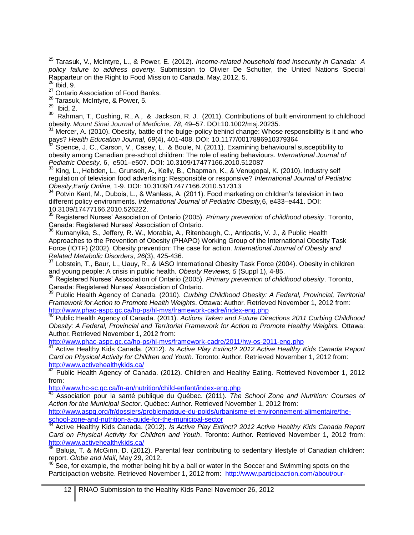<sup>25</sup> Tarasuk, V., McIntyre, L., & Power, E. (2012). *Income-related household food insecurity in Canada: A policy failure to address poverty.* Submission to Olivier De Schutter, the United Nations Special Rapparteur on the Right to Food Mission to Canada. May, 2012, 5.

 $\overline{a}$ 

<sup>27</sup> Ontario Association of Food Banks.

<sup>28</sup> Tarasuk, McIntyre, & Power, 5.

<sup>30</sup> Rahman, T., Cushing, R., A., & Jackson, R. J. (2011). Contributions of built environment to childhood obesity. *Mount Sinai Journal of Medicine, 78*, 49–57. DOI:10.1002/msj.20235.

<sup>31</sup> Mercer, A. (2010). Obesity, battle of the bulge-policy behind change: Whose responsibility is it and who pays? *Health Education Journal, 69*(4), 401-408. DOI: 10.1177/0017896910379364

 $32$  Spence, J. C., Carson, V., Casey, L. & Boule, N. (2011). Examining behavioural susceptibility to obesity among Canadian pre-school children: The role of eating behaviours. *International Journal of Pediatric Obesity,* 6, e501–e507. DOI: 10.3109/17477166.2010.512087

<sup>33</sup> King, L., Hebden, L., Grunseit, A., Kelly, B., Chapman, K., & Venugopal, K. (2010). Industry self regulation of television food advertising: Responsible or responsive? *International Journal of Pediatric Obesity,Early Online,* 1-9. DOI: 10.3109/17477166.2010.517313

<sup>34</sup> Potvin Kent, M., Dubois, L., & Wanless, A. (2011). Food marketing on children's television in two different policy environments. *International Journal of Pediatric Obesity,*6, e433–e441. DOI: 10.3109/17477166.2010.526222.

<sup>35</sup> Registered Nurses" Association of Ontario (2005). *Primary prevention of childhood obesity*. Toronto, Canada: Registered Nurses' Association of Ontario.

<sup>36</sup> Kumanyika, S., Jeffery, R. W., Morabia, A., Ritenbaugh, C., Antipatis, V. J., & Public Health Approaches to the Prevention of Obesity (PHAPO) Working Group of the International Obesity Task Force (IOTF) (2002). Obesity prevention: The case for action. *International Journal of Obesity and Related Metabolic Disorders, 26*(3), 425-436.

<sup>37</sup> Lobstein, T., Baur, L., Uauy, R., & IASO International Obesity Task Force (2004). Obesity in children and young people: A crisis in public health. *Obesity Reviews, 5* (Suppl 1), 4-85.

<sup>38</sup> Registered Nurses" Association of Ontario (2005). *Primary prevention of childhood obesity*. Toronto, Canada: Registered Nurses" Association of Ontario.

<sup>39</sup> Public Health Agency of Canada. (2010). *Curbing Childhood Obesity: A Federal, Provincial, Territorial Framework for Action to Promote Health Weights*. Ottawa: Author. Retrieved November 1, 2012 from: <http://www.phac-aspc.gc.ca/hp-ps/hl-mvs/framework-cadre/index-eng.php>

<sup>40</sup> Public Health Agency of Canada. (2011). *Actions Taken and Future Directions 2011 Curbing Childhood Obesity: A Federal, Provincial and Territorial Framework for Action to Promote Healthy Weights.* Ottawa: Author. Retrieved November 1, 2012 from:

<http://www.phac-aspc.gc.ca/hp-ps/hl-mvs/framework-cadre/2011/hw-os-2011-eng.php>

<sup>41</sup> Active Healthy Kids Canada. (2012). *Is Active Play Extinct? 2012 Active Healthy Kids Canada Report Card on Physical Activity for Children and Youth*. Toronto: Author. Retrieved November 1, 2012 from: <http://www.activehealthykids.ca/><br><sup>42</sup> Dublis United the Water

<sup>42</sup> Public Health Agency of Canada. (2012). Children and Healthy Eating. Retrieved November 1, 2012 from:

<http://www.hc-sc.gc.ca/fn-an/nutrition/child-enfant/index-eng.php>

<sup>43</sup> Association pour la santé publique du Québec. (2011). *The School Zone and Nutrition: Courses of Action for the Municipal Sector*. Québec: Author. Retrieved November 1, 2012 from:

[http://www.aspq.org/fr/dossiers/problematique-du-poids/urbanisme-et-environnement-alimentaire/the](http://www.aspq.org/fr/dossiers/problematique-du-poids/urbanisme-et-environnement-alimentaire/the-school-zone-and-nutrition-a-guide-for-the-municipal-sector)[school-zone-and-nutrition-a-guide-for-the-municipal-sector](http://www.aspq.org/fr/dossiers/problematique-du-poids/urbanisme-et-environnement-alimentaire/the-school-zone-and-nutrition-a-guide-for-the-municipal-sector)

<sup>44</sup> Active Healthy Kids Canada. (2012). *Is Active Play Extinct? 2012 Active Healthy Kids Canada Report Card on Physical Activity for Children and Youth*. Toronto: Author. Retrieved November 1, 2012 from: <http://www.activehealthykids.ca/>

160 Baluja, T. & McGinn, D. (2012). Parental fear contributing to sedentary lifestyle of Canadian children: report. *Globe and Mail*, May 29, 2012.

See, for example, the mother being hit by a ball or water in the Soccer and Swimming spots on the Participaction website. Retrieved November 1, 2012 from: [http://www.participaction.com/about/our-](http://www.participaction.com/about/our-advertising-campaigns/)

<sup>26</sup> Ibid, 9.

 $29$  Ibid, 2.